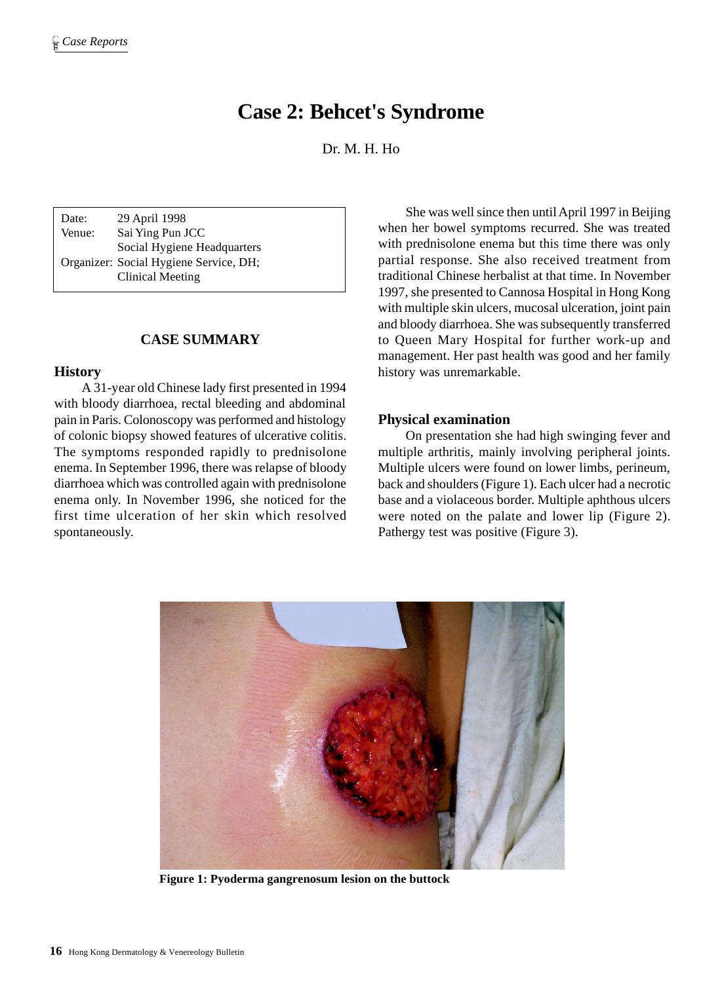# **Case 2: Behcet's Syndrome**

Dr. M. H. Ho

Date: 29 April 1998 Venue: Sai Ying Pun JCC Social Hygiene Headquarters Organizer: Social Hygiene Service, DH; Clinical Meeting

#### **CASE SUMMARY**

#### **History**

A 31-year old Chinese lady first presented in 1994 with bloody diarrhoea, rectal bleeding and abdominal pain in Paris. Colonoscopy was performed and histology of colonic biopsy showed features of ulcerative colitis. The symptoms responded rapidly to prednisolone enema. In September 1996, there was relapse of bloody diarrhoea which was controlled again with prednisolone enema only. In November 1996, she noticed for the first time ulceration of her skin which resolved spontaneously.

She was well since then until April 1997 in Beijing when her bowel symptoms recurred. She was treated with prednisolone enema but this time there was only partial response. She also received treatment from traditional Chinese herbalist at that time. In November 1997, she presented to Cannosa Hospital in Hong Kong with multiple skin ulcers, mucosal ulceration, joint pain and bloody diarrhoea. She was subsequently transferred to Queen Mary Hospital for further work-up and management. Her past health was good and her family history was unremarkable.

#### **Physical examination**

On presentation she had high swinging fever and multiple arthritis, mainly involving peripheral joints. Multiple ulcers were found on lower limbs, perineum, back and shoulders (Figure 1). Each ulcer had a necrotic base and a violaceous border. Multiple aphthous ulcers were noted on the palate and lower lip (Figure 2). Pathergy test was positive (Figure 3).



**Figure 1: Pyoderma gangrenosum lesion on the buttock**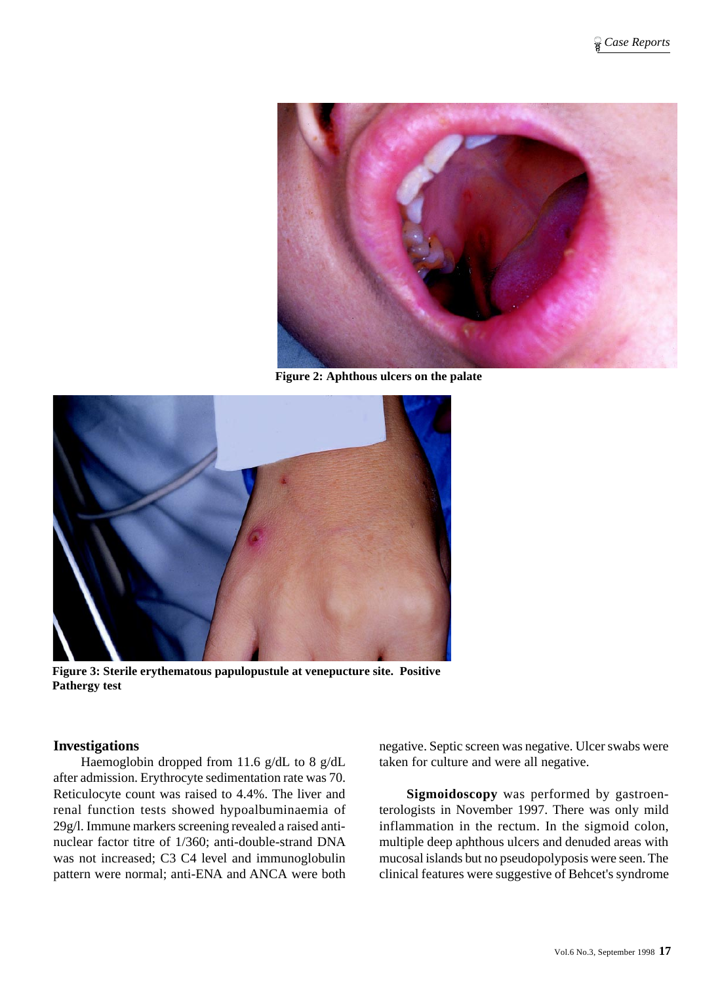

**Figure 2: Aphthous ulcers on the palate**



**Figure 3: Sterile erythematous papulopustule at venepucture site. Positive Pathergy test**

#### **Investigations**

Haemoglobin dropped from 11.6 g/dL to 8 g/dL after admission. Erythrocyte sedimentation rate was 70. Reticulocyte count was raised to 4.4%. The liver and renal function tests showed hypoalbuminaemia of 29g/l. Immune markers screening revealed a raised antinuclear factor titre of 1/360; anti-double-strand DNA was not increased; C3 C4 level and immunoglobulin pattern were normal; anti-ENA and ANCA were both

negative. Septic screen was negative. Ulcer swabs were taken for culture and were all negative.

**Sigmoidoscopy** was performed by gastroenterologists in November 1997. There was only mild inflammation in the rectum. In the sigmoid colon, multiple deep aphthous ulcers and denuded areas with mucosal islands but no pseudopolyposis were seen. The clinical features were suggestive of Behcet's syndrome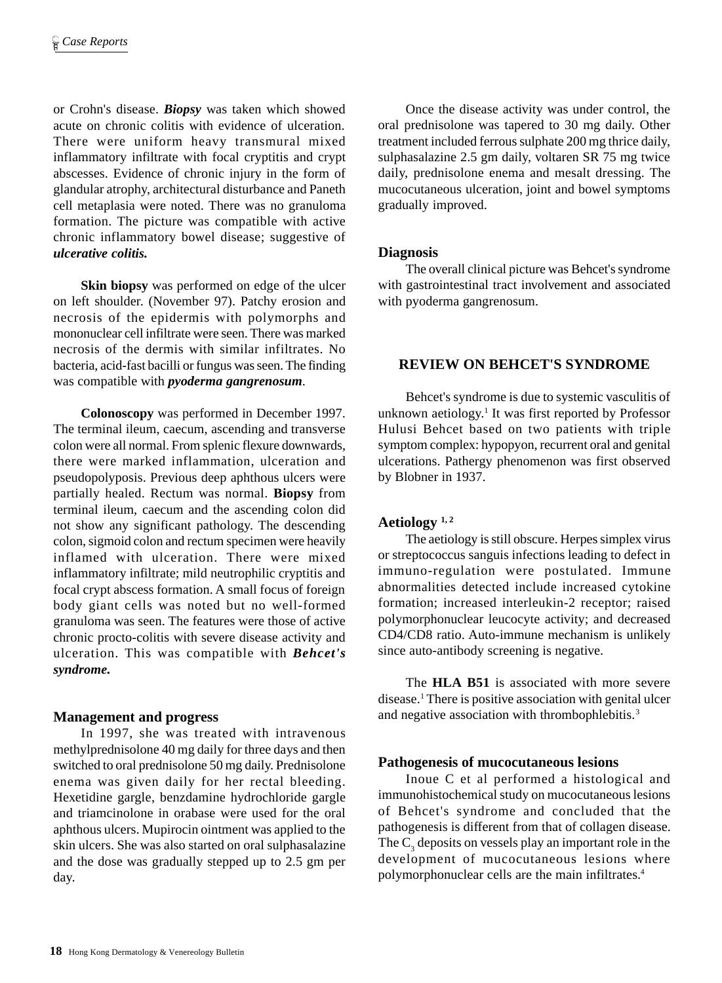or Crohn's disease. *Biopsy* was taken which showed acute on chronic colitis with evidence of ulceration. There were uniform heavy transmural mixed inflammatory infiltrate with focal cryptitis and crypt abscesses. Evidence of chronic injury in the form of glandular atrophy, architectural disturbance and Paneth cell metaplasia were noted. There was no granuloma formation. The picture was compatible with active chronic inflammatory bowel disease; suggestive of *ulcerative colitis.*

**Skin biopsy** was performed on edge of the ulcer on left shoulder. (November 97). Patchy erosion and necrosis of the epidermis with polymorphs and mononuclear cell infiltrate were seen. There was marked necrosis of the dermis with similar infiltrates. No bacteria, acid-fast bacilli or fungus was seen. The finding was compatible with *pyoderma gangrenosum*.

**Colonoscopy** was performed in December 1997. The terminal ileum, caecum, ascending and transverse colon were all normal. From splenic flexure downwards, there were marked inflammation, ulceration and pseudopolyposis. Previous deep aphthous ulcers were partially healed. Rectum was normal. **Biopsy** from terminal ileum, caecum and the ascending colon did not show any significant pathology. The descending colon, sigmoid colon and rectum specimen were heavily inflamed with ulceration. There were mixed inflammatory infiltrate; mild neutrophilic cryptitis and focal crypt abscess formation. A small focus of foreign body giant cells was noted but no well-formed granuloma was seen. The features were those of active chronic procto-colitis with severe disease activity and ulceration. This was compatible with *Behcet's syndrome.*

## **Management and progress**

In 1997, she was treated with intravenous methylprednisolone 40 mg daily for three days and then switched to oral prednisolone 50 mg daily. Prednisolone enema was given daily for her rectal bleeding. Hexetidine gargle, benzdamine hydrochloride gargle and triamcinolone in orabase were used for the oral aphthous ulcers. Mupirocin ointment was applied to the skin ulcers. She was also started on oral sulphasalazine and the dose was gradually stepped up to 2.5 gm per day.

Once the disease activity was under control, the oral prednisolone was tapered to 30 mg daily. Other treatment included ferrous sulphate 200 mg thrice daily, sulphasalazine 2.5 gm daily, voltaren SR 75 mg twice daily, prednisolone enema and mesalt dressing. The mucocutaneous ulceration, joint and bowel symptoms gradually improved.

## **Diagnosis**

The overall clinical picture was Behcet's syndrome with gastrointestinal tract involvement and associated with pyoderma gangrenosum.

#### **REVIEW ON BEHCET'S SYNDROME**

Behcet's syndrome is due to systemic vasculitis of unknown aetiology.<sup>1</sup> It was first reported by Professor Hulusi Behcet based on two patients with triple symptom complex: hypopyon, recurrent oral and genital ulcerations. Pathergy phenomenon was first observed by Blobner in 1937.

#### **Aetiology 1, 2**

The aetiology is still obscure. Herpes simplex virus or streptococcus sanguis infections leading to defect in immuno-regulation were postulated. Immune abnormalities detected include increased cytokine formation; increased interleukin-2 receptor; raised polymorphonuclear leucocyte activity; and decreased CD4/CD8 ratio. Auto-immune mechanism is unlikely since auto-antibody screening is negative.

The **HLA B51** is associated with more severe disease.1 There is positive association with genital ulcer and negative association with thrombophlebitis.<sup>3</sup>

#### **Pathogenesis of mucocutaneous lesions**

Inoue C et al performed a histological and immunohistochemical study on mucocutaneous lesions of Behcet's syndrome and concluded that the pathogenesis is different from that of collagen disease. The  $C_3$  deposits on vessels play an important role in the development of mucocutaneous lesions where polymorphonuclear cells are the main infiltrates.4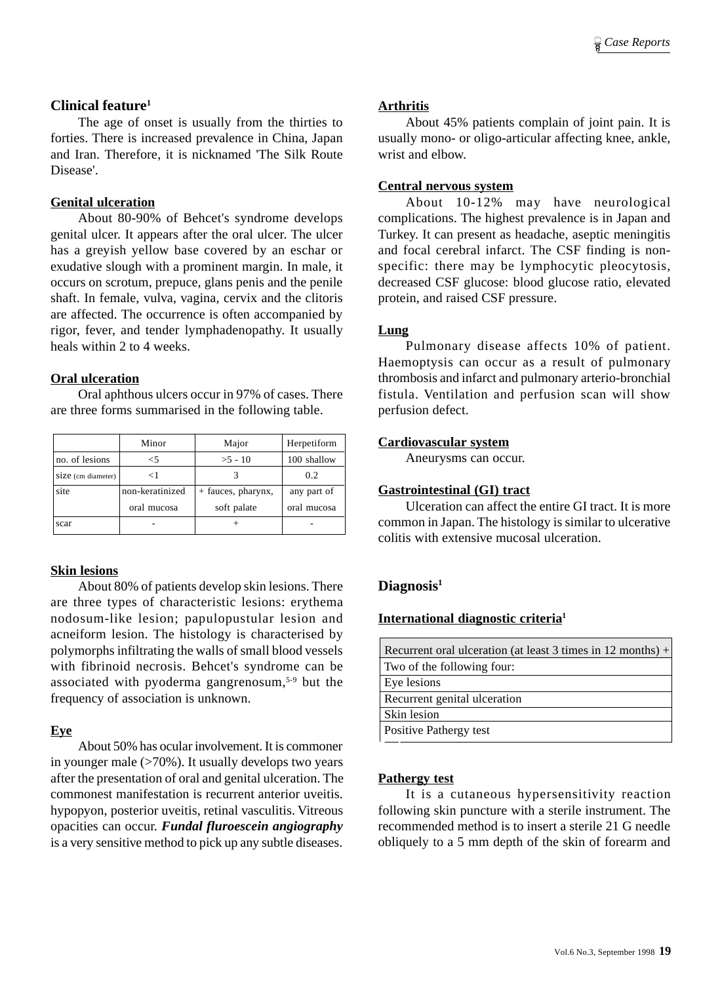## **Clinical feature1**

The age of onset is usually from the thirties to forties. There is increased prevalence in China, Japan and Iran. Therefore, it is nicknamed 'The Silk Route Disease'.

# **Genital ulceration**

About 80-90% of Behcet's syndrome develops genital ulcer. It appears after the oral ulcer. The ulcer has a greyish yellow base covered by an eschar or exudative slough with a prominent margin. In male, it occurs on scrotum, prepuce, glans penis and the penile shaft. In female, vulva, vagina, cervix and the clitoris are affected. The occurrence is often accompanied by rigor, fever, and tender lymphadenopathy. It usually heals within 2 to 4 weeks.

# **Oral ulceration**

Oral aphthous ulcers occur in 97% of cases. There are three forms summarised in the following table.

|                    | Minor           | Major              | Herpetiform |
|--------------------|-----------------|--------------------|-------------|
| no. of lesions     | <5              | $>5 - 10$          | 100 shallow |
| Size (cm diameter) | <1              |                    | 0.2         |
| site               | non-keratinized | + fauces, pharynx, | any part of |
|                    | oral mucosa     | soft palate        | oral mucosa |
| scar               |                 |                    |             |

# **Skin lesions**

About 80% of patients develop skin lesions. There are three types of characteristic lesions: erythema nodosum-like lesion; papulopustular lesion and acneiform lesion. The histology is characterised by polymorphs infiltrating the walls of small blood vessels with fibrinoid necrosis. Behcet's syndrome can be associated with pyoderma gangrenosum,5-9 but the frequency of association is unknown.

# **Eye**

About 50% has ocular involvement. It is commoner in younger male  $($ >70%). It usually develops two years after the presentation of oral and genital ulceration. The commonest manifestation is recurrent anterior uveitis. hypopyon, posterior uveitis, retinal vasculitis. Vitreous opacities can occur. *Fundal fluroescein angiography* is a very sensitive method to pick up any subtle diseases.

## **Arthritis**

About 45% patients complain of joint pain. It is usually mono- or oligo-articular affecting knee, ankle, wrist and elbow.

## **Central nervous system**

About 10-12% may have neurological complications. The highest prevalence is in Japan and Turkey. It can present as headache, aseptic meningitis and focal cerebral infarct. The CSF finding is nonspecific: there may be lymphocytic pleocytosis, decreased CSF glucose: blood glucose ratio, elevated protein, and raised CSF pressure.

## **Lung**

Pulmonary disease affects 10% of patient. Haemoptysis can occur as a result of pulmonary thrombosis and infarct and pulmonary arterio-bronchial fistula. Ventilation and perfusion scan will show perfusion defect.

#### **Cardiovascular system**

Aneurysms can occur.

## **Gastrointestinal (GI) tract**

Ulceration can affect the entire GI tract. It is more common in Japan. The histology is similar to ulcerative colitis with extensive mucosal ulceration.

# **Diagnosis1**

## **International diagnostic criteria1**

| Recurrent oral ulceration (at least 3 times in $12$ months) + |  |  |
|---------------------------------------------------------------|--|--|
| Two of the following four:                                    |  |  |
| Eye lesions                                                   |  |  |
| Recurrent genital ulceration                                  |  |  |
| Skin lesion                                                   |  |  |
| Positive Pathergy test                                        |  |  |
|                                                               |  |  |

## **Pathergy test**

It is a cutaneous hypersensitivity reaction following skin puncture with a sterile instrument. The recommended method is to insert a sterile 21 G needle obliquely to a 5 mm depth of the skin of forearm and